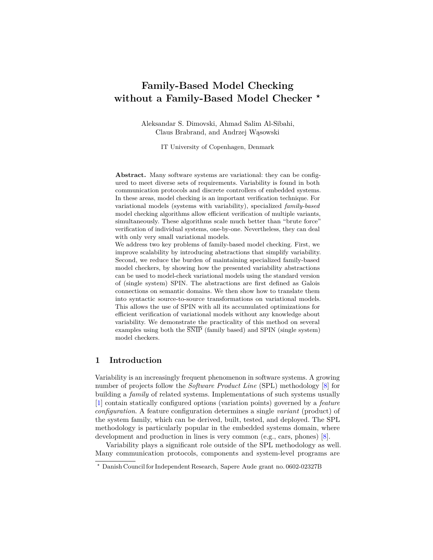# **Family-Based Model Checking without a Family-Based Model Checker** *?*

Aleksandar S. Dimovski, Ahmad Salim Al-Sibahi, Claus Brabrand, and Andrzej Wąsowski

IT University of Copenhagen, Denmark

**Abstract.** Many software systems are variational: they can be configured to meet diverse sets of requirements. Variability is found in both communication protocols and discrete controllers of embedded systems. In these areas, model checking is an important verification technique. For variational models (systems with variability), specialized *family-based* model checking algorithms allow efficient verification of multiple variants, simultaneously. These algorithms scale much better than "brute force" verification of individual systems, one-by-one. Nevertheless, they can deal with only very small variational models.

We address two key problems of family-based model checking. First, we improve scalability by introducing abstractions that simplify variability. Second, we reduce the burden of maintaining specialized family-based model checkers, by showing how the presented variability abstractions can be used to model-check variational models using the standard version of (single system) SPIN. The abstractions are first defined as Galois connections on semantic domains. We then show how to translate them into syntactic source-to-source transformations on variational models. This allows the use of SPIN with all its accumulated optimizations for efficient verification of variational models without any knowledge about variability. We demonstrate the practicality of this method on several examples using both the SNIP (family based) and SPIN (single system) model checkers.

# **1 Introduction**

Variability is an increasingly frequent phenomenon in software systems. A growing number of projects follow the *Software Product Line* (SPL) methodology [\[8\]](#page-17-0) for building a *family* of related systems. Implementations of such systems usually [\[1\]](#page-16-0) contain statically configured options (variation points) governed by a *feature configuration*. A feature configuration determines a single *variant* (product) of the system family, which can be derived, built, tested, and deployed. The SPL methodology is particularly popular in the embedded systems domain, where development and production in lines is very common (e.g., cars, phones) [\[8\]](#page-17-0).

Variability plays a significant role outside of the SPL methodology as well. Many communication protocols, components and system-level programs are

*<sup>?</sup>* Danish Council for Independent Research, Sapere Aude grant no. 0602-02327B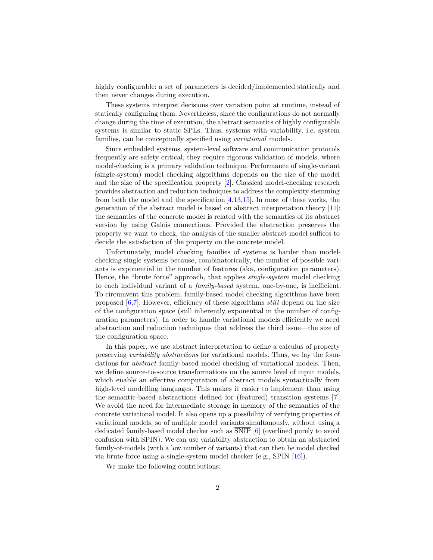highly configurable: a set of parameters is decided/implemented statically and then never changes during execution.

These systems interpret decisions over variation point at runtime, instead of statically configuring them. Nevertheless, since the configurations do not normally change during the time of execution, the abstract semantics of highly configurable systems is similar to static SPLs. Thus, systems with variability, i.e. system families, can be conceptually specified using *variational* models.

Since embedded systems, system-level software and communication protocols frequently are safety critical, they require rigorous validation of models, where model-checking is a primary validation technique. Performance of single-variant (single-system) model checking algorithms depends on the size of the model and the size of the specification property [\[2\]](#page-17-1). Classical model-checking research provides abstraction and reduction techniques to address the complexity stemming from both the model and the specification [\[4,](#page-17-2)[13,](#page-17-3)[15\]](#page-17-4). In most of these works, the generation of the abstract model is based on abstract interpretation theory [\[11\]](#page-17-5): the semantics of the concrete model is related with the semantics of its abstract version by using Galois connections. Provided the abstraction preserves the property we want to check, the analysis of the smaller abstract model suffices to decide the satisfaction of the property on the concrete model.

Unfortunately, model checking families of systems is harder than modelchecking single systems because, combinatorically, the number of possible variants is exponential in the number of features (aka, configuration parameters). Hence, the "brute force" approach, that applies *single-system* model checking to each individual variant of a *family-based* system, one-by-one, is inefficient. To circumvent this problem, family-based model checking algorithms have been proposed [\[6,](#page-17-6)[7\]](#page-17-7). However, efficiency of these algorithms *still* depend on the size of the configuration space (still inherently exponential in the number of configuration parameters). In order to handle variational models efficiently we need abstraction and reduction techniques that address the third issue—the size of the configuration space.

In this paper, we use abstract interpretation to define a calculus of property preserving *variability abstractions* for variational models. Thus, we lay the foundations for *abstract* family-based model checking of variational models. Then, we define source-to-source transformations on the source level of input models, which enable an effective computation of abstract models syntactically from high-level modelling languages. This makes it easier to implement than using the semantic-based abstractions defined for (featured) transition systems [\[7\]](#page-17-7). We avoid the need for intermediate storage in memory of the semantics of the concrete variational model. It also opens up a possibility of verifying properties of variational models, so of multiple model variants simultanously, without using a dedicated family-based model checker such as SNIP [\[6\]](#page-17-6) (overlined purely to avoid confusion with SPIN). We can use variability abstraction to obtain an abstracted family-of-models (with a low number of variants) that can then be model checked via brute force using a single-system model checker (e.g., SPIN [\[16\]](#page-17-8)).

We make the following contributions: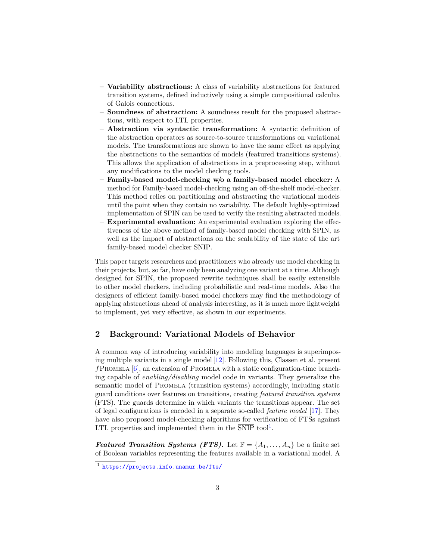- **– Variability abstractions:** A class of variability abstractions for featured transition systems, defined inductively using a simple compositional calculus of Galois connections.
- **– Soundness of abstraction:** A soundness result for the proposed abstractions, with respect to LTL properties.
- **– Abstraction via syntactic transformation:** A syntactic definition of the abstraction operators as source-to-source transformations on variational models. The transformations are shown to have the same effect as applying the abstractions to the semantics of models (featured transitions systems). This allows the application of abstractions in a preprocessing step, without any modifications to the model checking tools.
- **– Family-based model-checking w/o a family-based model checker:** A method for Family-based model-checking using an off-the-shelf model-checker. This method relies on partitioning and abstracting the variational models until the point when they contain no variability. The default highly-optimized implementation of SPIN can be used to verify the resulting abstracted models.
- **– Experimental evaluation:** An experimental evaluation exploring the effectiveness of the above method of family-based model checking with SPIN, as well as the impact of abstractions on the scalability of the state of the art family-based model checker SNIP.

This paper targets researchers and practitioners who already use model checking in their projects, but, so far, have only been analyzing one variant at a time. Although designed for SPIN, the proposed rewrite techniques shall be easily extensible to other model checkers, including probabilistic and real-time models. Also the designers of efficient family-based model checkers may find the methodology of applying abstractions ahead of analysis interesting, as it is much more lightweight to implement, yet very effective, as shown in our experiments.

# **2 Background: Variational Models of Behavior**

A common way of introducing variability into modeling languages is superimposing multiple variants in a single model [\[12\]](#page-17-9). Following this, Classen et al. present *f*PROMELA [\[6\]](#page-17-6), an extension of PROMELA with a static configuration-time branching capable of *enabling/disabling* model code in variants. They generalize the semantic model of Promela (transition systems) accordingly, including static guard conditions over features on transitions, creating *featured transition systems* (FTS). The guards determine in which variants the transitions appear. The set of legal configurations is encoded in a separate so-called *feature model* [\[17\]](#page-17-10). They have also proposed model-checking algorithms for verification of FTSs against LTL properties and implemented them in the  $\overline{\text{SNIP}}$  tool<sup>[1](#page-2-0)</sup>.

*Featured Transition Systems (FTS).* Let  $\mathbb{F} = \{A_1, \ldots, A_n\}$  be a finite set of Boolean variables representing the features available in a variational model. A

<span id="page-2-0"></span><sup>1</sup> <https://projects.info.unamur.be/fts/>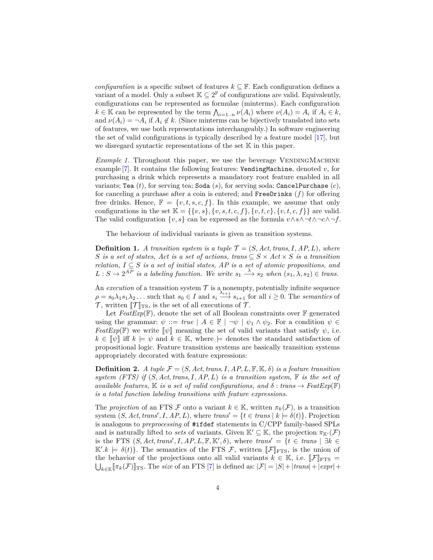*configuration* is a specific subset of features  $k \subseteq \mathbb{F}$ . Each configuration defines a variant of a model. Only a subset  $\mathbb{K} \subseteq 2^{\mathbb{F}}$  of configurations are valid. Equivalently, configurations can be represented as formulae (minterms). Each configuration  $k \in \mathbb{K}$  can be represented by the term  $\bigwedge_{i=1..n} \nu(A_i)$  where  $\nu(A_i) = A_i$  if  $A_i \in k$ , and  $\nu(A_i) = \neg A_i$  if  $A_i \notin k$ . (Since minterms can be bijectively translated into sets of features, we use both representations interchangeably.) In software engineering the set of valid configurations is typically described by a feature model [\[17\]](#page-17-10), but we disregard syntactic representations of the set K in this paper.

*Example 1.* Throughout this paper, we use the beverage VENDINGMACHINE example [\[7\]](#page-17-7). It contains the following features: VendingMachine, denoted *v*, for purchasing a drink which represents a mandatory root feature enabled in all variants; Tea (*t*), for serving tea; Soda (*s*), for serving soda; CancelPurchase (*c*), for canceling a purchase after a coin is entered; and FreeDrinks (*f*) for offering free drinks. Hence,  $\mathbb{F} = \{v, t, s, c, f\}$ . In this example, we assume that only configurations in the set  $\mathbb{K} = \{ \{v, s\}, \{v, s, t, c, f\}, \{v, t, c\}, \{v, t, c, f\} \}$  are valid. The valid configuration  $\{v, s\}$  can be expressed as the formula  $v \wedge s \wedge \neg t \wedge \neg c \wedge \neg f$ .

The behaviour of individual variants is given as transition systems.

**Definition 1.** *A transition system is a tuple*  $\mathcal{T} = (S, Act, trans, I, AP, L)$ *, where S is a set of states, Act is a set of actions,*  $trans \subseteq S \times Act \times S$  *<i>is a transition relation,*  $I \subseteq S$  *is a set of initial states,*  $AP$  *is a set of atomic propositions, and*  $L: S \to 2^{\overline{AP}}$  *is a labeling function. We write*  $s_1 \xrightarrow{\lambda} s_2$  *when*  $(s_1, \lambda, s_2) \in \text{trans.}$ 

An *execution* of a transition system  $\mathcal T$  is a nonempty, potentially infinite sequence  $\rho = s_0 \lambda_1 s_1 \lambda_2 \ldots$  such that  $s_0 \in I$  and  $s_i \stackrel{\lambda_{i+1}}{\longrightarrow} s_{i+1}$  for all  $i \geq 0$ . The *semantics* of  $\mathcal{T}$ , written  $\llbracket \mathcal{T} \rrbracket_{\text{TS}}$ , is the set of all executions of  $\mathcal{T}$ .

Let  $FeatExp(\mathbb{F})$ , denote the set of all Boolean constraints over  $\mathbb F$  generated using the grammar:  $\psi ::= true \mid A \in \mathbb{F} \mid \neg \psi \mid \psi_1 \wedge \psi_2$ . For a condition  $\psi \in$ *FeatExp*(F) we write  $[\![\psi]\!]$  meaning the set of valid variants that satisfy  $\psi$ , i.e.  $k \in \llbracket \psi \rrbracket$  iff  $k \models \psi$  and  $k \in \mathbb{K}$ , where  $\models$  denotes the standard satisfaction of propositional logic. Feature transition systems are basically transition systems appropriately decorated with feature expressions:

**Definition 2.** *A tuple*  $\mathcal{F} = (S, Act, trans, I, AP, L, \mathbb{F}, \mathbb{K}, \delta)$  *is a feature transition system (FTS) if* (*S, Act, trans, I, AP, L*) *is a transition system,* F *is the set of available features,* K *is a set of valid configurations, and*  $\delta$  : *trans*  $\rightarrow$  *FeatExp*(F) *is a total function labeling transitions with feature expressions.*

The *projection* of an FTS F onto a variant  $k \in \mathbb{K}$ , written  $\pi_k(\mathcal{F})$ , is a transition system  $(S, Act, trans', I, AP, L)$ , where  $trans' = \{t \in trans \mid k \models \delta(t)\}\.$  Projection is analogous to *preprocessing* of #ifdef statements in C/CPP family-based SPLs and is naturally lifted to *sets* of variants. Given  $\mathbb{K}' \subseteq \mathbb{K}$ , the projection  $\pi_{\mathbb{K}'}(\mathcal{F})$ is the FTS  $(S, Act, trans', I, AP, L, \mathbb{F}, \mathbb{K}', \delta)$ , where  $trans' = \{t \in trans \mid \exists k \in \mathbb{K} \}$  $\mathbb{K}'\cdot k \models \delta(t)$ . The semantics of the FTS F, written  $[\![\mathcal{F}]\!]_{\text{FTS}}$ , is the union of the behavior of the projections onto all valid variants  $k \in \mathbb{K}$ , i.e.  $\llbracket \mathcal{F} \rrbracket_{\text{FTS}} =$  $\bigcup_{k \in \mathbb{K}} [\![\pi_k(\mathcal{F})]\!]_{\text{TS}}$ . The *size* of an FTS [\[7\]](#page-17-7) is defined as:  $|\mathcal{F}| = |S| + |\text{trans}| + |\text{expr}| +$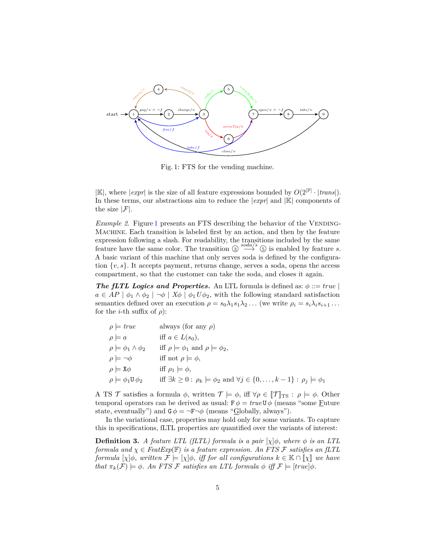<span id="page-4-0"></span>

Fig. 1: FTS for the vending machine.

 $|\mathbb{K}|$ , where  $|expr|$  is the size of all feature expressions bounded by  $O(2^{|\mathbb{F}|} \cdot |trans|)$ . In these terms, our abstractions aim to reduce the  $|expr|$  and  $|K|$  components of the size  $|\mathcal{F}|$ .

*Example 2.* Figure [1](#page-4-0) presents an FTS describing the behavior of the VENDING-Machine. Each transition is labeled first by an action, and then by the feature expression following a slash. For readability, the transitions included by the same feature have the same color. The transition  $\textcircled{3} \longrightarrow^{\text{soda/s}} \textcircled{5}$  is enabled by feature *s*. A basic variant of this machine that only serves soda is defined by the configuration  $\{v, s\}$ . It accepts payment, returns change, serves a soda, opens the access compartment, so that the customer can take the soda, and closes it again.

*The fLTL Logics and Properties.* An LTL formula is defined as:  $\phi ::= true$  $a \in AP \mid \phi_1 \wedge \phi_2 \mid \neg \phi \mid X\phi \mid \phi_1 U\phi_2$ , with the following standard satisfaction semantics defined over an execution  $\rho = s_0 \lambda_1 s_1 \lambda_2 \ldots$  (we write  $\rho_i = s_i \lambda_i s_{i+1} \ldots$ for the *i*-th suffix of  $\rho$ ):

| $\rho \models true$                     | always (for any $\rho$ )                                                                                      |
|-----------------------------------------|---------------------------------------------------------------------------------------------------------------|
| $\rho \models a$                        | iff $a \in L(s_0)$ ,                                                                                          |
| $\rho \models \phi_1 \land \phi_2$      | iff $\rho \models \phi_1$ and $\rho \models \phi_2$ ,                                                         |
| $\rho \models \neg \phi$                | iff not $\rho \models \phi$ ,                                                                                 |
| $\rho \models X\phi$                    | iff $\rho_1 \models \phi$ ,                                                                                   |
| $\rho \models \phi_1 \mathsf{U} \phi_2$ | iff $\exists k \geq 0 : \rho_k \models \phi_2$ and $\forall j \in \{0, \ldots, k-1\} : \rho_j \models \phi_1$ |

A TS T satisfies a formula  $\phi$ , written  $\mathcal{T} \models \phi$ , iff  $\forall \rho \in [\![\mathcal{T}]\!]_{\text{TS}} : \rho \models \phi$ . Other temporal operators can be derived as usual:  $F \phi = true U \phi$  (means "some Future") state, eventually") and  $G \phi = \neg F \neg \phi$  (means "Globally, always").

<span id="page-4-1"></span>In the variational case, properties may hold only for some variants. To capture this in specifications, fLTL properties are quantified over the variants of interest:

**Definition 3.** *A feature LTL (fLTL) formula is a pair*  $[\chi]\phi$ *, where*  $\phi$  *is an LTL formula and*  $\chi \in \text{FeatExp}(\mathbb{F})$  *is a feature expression. An FTS* F *satisfies an fLTL formula*  $[\chi]\phi$ *, written*  $\mathcal{F} \models [\chi]\phi$ *, iff for all configurations*  $k \in \mathbb{K} \cap [\chi]$  *we have that*  $\pi_k(\mathcal{F}) \models \phi$ *. An FTS*  $\mathcal{F}$  *satisfies an LTL formula*  $\phi$  *iff*  $\mathcal{F} \models [true]\phi$ *.*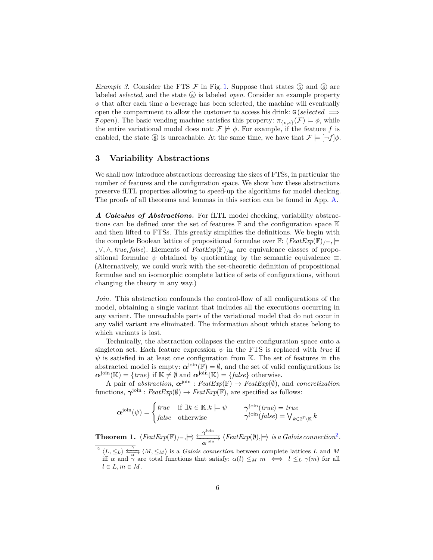*Example 3.* Consider the FTS  $\mathcal F$  in Fig. [1.](#page-4-0) Suppose that states  $\mathcal G$  and  $\mathcal G$  are labeled *selected*, and the state <sup>8</sup> is labeled *open*. Consider an example property  $\phi$  that after each time a beverage has been selected, the machine will eventually open the compartment to allow the customer to access his drink:  $G$  (*selected*  $\implies$ F *open*). The basic vending machine satisfies this property:  $\pi_{\{v,s\}}(\mathcal{F}) \models \phi$ , while the entire variational model does not:  $\mathcal{F} \not\models \phi$ . For example, if the feature *f* is enabled, the state  $\circled{)}$  is unreachable. At the same time, we have that  $\mathcal{F} \models [\neg f]\phi$ .

## <span id="page-5-1"></span>**3 Variability Abstractions**

We shall now introduce abstractions decreasing the sizes of FTSs, in particular the number of features and the configuration space. We show how these abstractions preserve fLTL properties allowing to speed-up the algorithms for model checking. The proofs of all theorems and lemmas in this section can be found in App. [A.](#page-18-0)

*A Calculus of Abstractions.* For fLTL model checking, variability abstractions can be defined over the set of features  $\mathbb F$  and the configuration space  $\mathbb K$ and then lifted to FTSs. This greatly simplifies the definitions. We begin with the complete Boolean lattice of propositional formulae over  $\mathbb{F}$ :  $(FeatExp(\mathbb{F})/_{\equiv}, \models$ *,* ∨*,* ∧*, true, false*). Elements of *FeatExp*(F)*/*<sup>≡</sup> are equivalence classes of propositional formulae  $\psi$  obtained by quotienting by the semantic equivalence  $\equiv$ . (Alternatively, we could work with the set-theoretic definition of propositional formulae and an isomorphic complete lattice of sets of configurations, without changing the theory in any way.)

*Join.* This abstraction confounds the control-flow of all configurations of the model, obtaining a single variant that includes all the executions occurring in any variant. The unreachable parts of the variational model that do not occur in any valid variant are eliminated. The information about which states belong to which variants is lost.

Technically, the abstraction collapses the entire configuration space onto a singleton set. Each feature expression  $\psi$  in the FTS is replaced with *true* if  $\psi$  is satisfied in at least one configuration from K. The set of features in the abstracted model is empty:  $\alpha^{join}(\mathbb{F}) = \emptyset$ , and the set of valid configurations is:  $\alpha^{join}(\mathbb{K}) = \{ true \}$  if  $\mathbb{K} \neq \emptyset$  and  $\alpha^{join}(\mathbb{K}) = \{ false \}$  otherwise.

A pair of *abstraction*,  $\alpha^{join}: \text{FeatureExp}(\mathbb{F}) \rightarrow \text{FeatureExp}(\emptyset)$ , and *concretization* functions,  $\gamma^{\text{join}}$  :  $FeatExp(\emptyset) \rightarrow FeatExp(\mathbb{F})$ , are specified as follows:

$$
\boldsymbol{\alpha}^{\text{join}}(\psi) = \begin{cases} \text{true} & \text{if } \exists k \in \mathbb{K}.k \models \psi \\ \text{false} & \text{otherwise} \end{cases} \qquad \boldsymbol{\gamma}^{\text{join}}(\text{true}) = \text{true} \\ \boldsymbol{\gamma}^{\text{join}}(\text{false}) = \bigvee_{k \in 2^{\mathbb{F}} \setminus \mathbb{K}} k
$$

<span id="page-5-2"></span> $\textbf{Theorem 1.} \ \langle \textit{Feature}(\mathbb{F})_{/\equiv}, \models \rangle \stackrel{\uparrow \rightarrow \text{non}}{\xrightarrow{\alpha^{\text{join}}}}$  $\frac{\gamma^{\text{join}}}{\longrightarrow}$   $\langle \text{FeatExp}(\emptyset), \models \rangle$  *is a Galois connection*<sup>[2](#page-5-0)</sup>.

<span id="page-5-0"></span> $\langle L, \leq_L \rangle \xrightarrow[\alpha]{\sim}$  $\frac{\gamma}{\gamma}$   $\langle M, \leq_M \rangle$  is a *Galois connection* between complete lattices *L* and *M* iff  $\alpha$  and  $\gamma$  are total functions that satisfy:  $\alpha(l) \leq_M m \iff l \leq_L \gamma(m)$  for all  $l \in L, m \in M$ .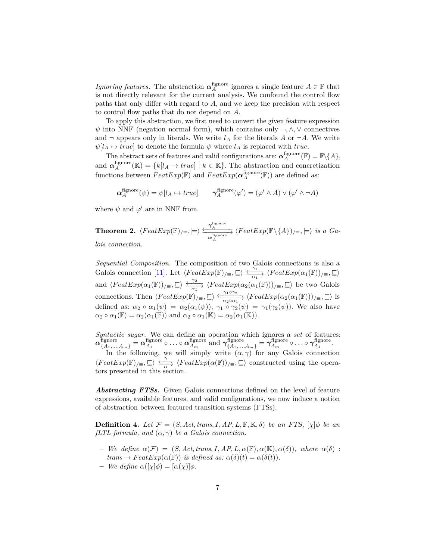*Ignoring features*. The abstraction  $\alpha_A^{\text{figure}}$  ignores a single feature  $A \in \mathbb{F}$  that is not directly relevant for the current analysis. We confound the control flow paths that only differ with regard to *A*, and we keep the precision with respect to control flow paths that do not depend on *A*.

To apply this abstraction, we first need to convert the given feature expression  $\psi$  into NNF (negation normal form), which contains only  $\neg, \wedge, \vee$  connectives and  $\neg$  appears only in literals. We write  $l_A$  for the literals *A* or  $\neg A$ . We write  $\psi[l_A \mapsto true]$  to denote the formula  $\psi$  where  $l_A$  is replaced with *true*.

The abstract sets of features and valid configurations are:  $\alpha_A^{\text{figure}}(\mathbb{F}) = \mathbb{F} \setminus \{A\},\$ and  $\alpha_A^{\text{fignore}}(\mathbb{K}) = \{k[l_A \mapsto true] \mid k \in \mathbb{K}\}.$  The abstraction and concretization functions between  $FeatExp(\mathbb{F})$  and  $FeatExp(\alpha_A^{\text{figure}}(\mathbb{F}))$  are defined as:

$$
\alpha_A^{\text{figure}}(\psi) = \psi[l_A \mapsto true] \qquad \gamma_A^{\text{figure}}(\varphi') = (\varphi' \wedge A) \vee (\varphi' \wedge \neg A)
$$

<span id="page-6-0"></span>where  $\psi$  and  $\varphi'$  are in NNF from.

**Theorem 2.**  $\langle \text{FeatureExp}(\mathbb{F})_{/\equiv}, \models \rangle \frac{A}{\alpha_{\text{gancer}}^{\text{figure}}}$ *A*  $\overline{Y^{\text{figure}}_{\overline{A}}(}$   $\langle \text{FeatExp}(\mathbb{F} \setminus \{A\})_{/\equiv}, \models \rangle$  *is a Galois connection.*

*Sequential Composition.* The composition of two Galois connections is also a Galois connection [\[11\]](#page-17-5). Let  $\langle FeatExp(\mathbb{F})_{/\equiv}, \subseteq \rangle \frac{\gamma_1}{\alpha_1}$  $\overline{\langle \sum_{\alpha} \rangle}$   $\langle \text{FeatExp}(\alpha_1(\mathbb{F}))_{\alpha} | \equiv \rangle$ and  $\langle \text{FeatExp}(\alpha_1(\mathbb{F}))_{\ell=1} \subseteq \frac{\langle \frac{\gamma_2}{\alpha_2} \rangle}{\alpha_2}$  $\frac{\gamma_2}{\gamma_1}$   $\langle FeatExp(\alpha_2(\alpha_1(\mathbb{F})))_{\ell=1} \rangle$  be two Galois connections. Then  $\langle FeatExp(\mathbb{F})_{/\equiv}, \sqsubseteq \rangle \frac{\langle \frac{\gamma_1 \circ \gamma_2}{\alpha_2 \circ \alpha_1} \rangle}{\alpha_2 \circ \alpha_1}$  $\overrightarrow{\gamma_1 \circ \gamma_2}$   $\langle FeatExp(\alpha_2(\alpha_1(\mathbb{F})))_{\ell \equiv \ell} \rangle$  is defined as:  $\alpha_2 \circ \alpha_1(\psi) = \alpha_2(\alpha_1(\psi))$ ,  $\gamma_1 \circ \gamma_2(\psi) = \gamma_1(\gamma_2(\psi))$ . We also have  $\alpha_2 \circ \alpha_1(\mathbb{F}) = \alpha_2(\alpha_1(\mathbb{F}))$  and  $\alpha_2 \circ \alpha_1(\mathbb{K}) = \alpha_2(\alpha_1(\mathbb{K})).$ 

*Syntactic sugar.* We can define an operation which ignores a *set* of features:  $\boldsymbol{\alpha}^{\text{figure}}_{\{A_1,...,A_m\}} = \boldsymbol{\alpha}^{\text{figure}}_{A_1} \circ \ldots \circ \boldsymbol{\alpha}^{\text{figure}}_{A_m} \text{ and } \boldsymbol{\gamma}^{\text{figure}}_{\{A_1,...,A_m\}} = \boldsymbol{\gamma}^{\text{figure}}_{A_m} \circ \ldots \circ \boldsymbol{\gamma}^{\text{figure}}_{A_1}.$ 

In the following, we will simply write  $(\alpha, \gamma)$  for any Galois connection  $\langle FeatExp(\mathbb{F})_{\ell=1} \rangle \Longrightarrow \frac{\gamma}{\alpha}$   $\langle FeatExp(\alpha(\mathbb{F}))_{\ell=1} \subseteq \rangle$  constructed using the operators presented in this section.

*Abstracting FTSs.* Given Galois connections defined on the level of feature expressions, available features, and valid configurations, we now induce a notion of abstraction between featured transition systems (FTSs).

**Definition 4.** Let  $\mathcal{F} = (S, Act, trans, I, AP, L, \mathbb{F}, \mathbb{K}, \delta)$  be an FTS,  $[\chi] \phi$  be an *fLTL formula, and* (*α, γ*) *be a Galois connection.*

- **–** *We define α*(F) = (*S, Act, trans, I, AP, L, α*(F)*, α*(K)*, α*(*δ*))*, where α*(*δ*) : *trans*  $\rightarrow$  *FeatExp*( $\alpha(\mathbb{F})$ ) *is defined as:*  $\alpha(\delta)(t) = \alpha(\delta(t))$ *.*
- **–** *We define α*([*χ*]*φ*) = [*α*(*χ*)]*φ.*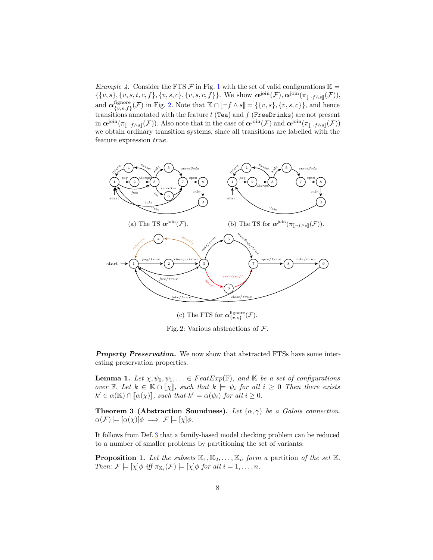*Example 4.* Consider the FTS  $\mathcal F$  in Fig. [1](#page-4-0) with the set of valid configurations  $\mathbb K$  =  $\{ \{v, s\}, \{v, s, t, c, f\}, \{v, s, c\}, \{v, s, c, f\} \}$ . We show  $\alpha^{\text{join}}(\mathcal{F}), \alpha^{\text{join}}(\pi_{\llbracket \neg f \wedge s \rrbracket}(\mathcal{F})),$ and  $\alpha_{\scriptscriptstyle f_{v},\,s\,\scriptscriptstyle f}^{\scriptscriptstyle\rm{fignore}}$  ${f}_{v,s,f}^{\text{figure}}(\mathcal{F})$  in Fig. [2.](#page-7-0) Note that  $\mathbb{K} \cap [\neg f \wedge s] = \{\{v,s\}, \{v,s,c\}\}\$ , and hence transitions annotated with the feature *t* (Tea) and *f* (FreeDrinks) are not present in  $\alpha^{join}(\pi_{\llbracket \neg f \wedge s\rrbracket}(\mathcal{F}))$ . Also note that in the case of  $\alpha^{join}(\mathcal{F})$  and  $\alpha^{join}(\pi_{\llbracket \neg f \wedge s\rrbracket}(\mathcal{F}))$ we obtain ordinary transition systems, since all transitions are labelled with the feature expression *true*.

<span id="page-7-0"></span>

(c) The FTS for  $\alpha_{\{v,s\}}^{\text{figure}}(\mathcal{F})$ .

Fig. 2: Various abstractions of  $\mathcal{F}$ .

*Property Preservation.* We now show that abstracted FTSs have some interesting preservation properties.

<span id="page-7-1"></span>**Lemma 1.** Let  $\chi, \psi_0, \psi_1, \ldots \in \text{FeatureExp}(\mathbb{F})$ , and  $\mathbb{K}$  be a set of configurations *over* **F**. Let  $k \in \mathbb{K} \cap [\![\chi]\!]$ *, such that*  $k \models \psi_i$  *for all*  $i \geq 0$  *Then there exists*  $k' \in \alpha(\mathbb{K}) \cap [\![\alpha(\chi)]\!]$ *, such that*  $k' \models \alpha(\psi_i)$  *for all*  $i \geq 0$ *.* 

<span id="page-7-2"></span>**Theorem 3 (Abstraction Soundness).** *Let* (*α, γ*) *be a Galois connection.*  $\alpha(\mathcal{F}) \models [\alpha(\chi)]\phi \implies \mathcal{F} \models [\chi]\phi.$ 

It follows from Def. [3](#page-4-1) that a family-based model checking problem can be reduced to a number of smaller problems by partitioning the set of variants:

**Proposition 1.** Let the subsets  $\mathbb{K}_1, \mathbb{K}_2, \ldots, \mathbb{K}_n$  form a partition of the set  $\mathbb{K}$ . *Then:*  $\mathcal{F} \models [\chi] \phi \text{ iff } \pi_{\mathbb{K}_i}(\mathcal{F}) \models [\chi] \phi \text{ for all } i = 1, \ldots, n$ .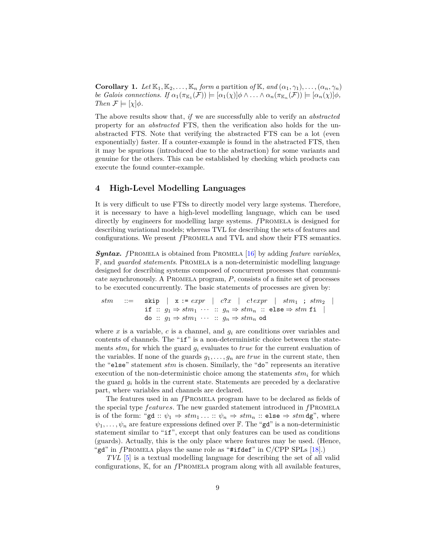**Corollary 1.** *Let*  $\mathbb{K}_1, \mathbb{K}_2, \ldots, \mathbb{K}_n$  *form a* partition *of*  $\mathbb{K}$ *, and*  $(\alpha_1, \gamma_1), \ldots, (\alpha_n, \gamma_n)$  $be \text{ Galois connections. If } \alpha_1(\pi_{\mathbb{K}_1}(\mathcal{F})) \models [\alpha_1(\chi)] \phi \land \ldots \land \alpha_n(\pi_{\mathbb{K}_n}(\mathcal{F})) \models [\alpha_n(\chi)] \phi,$ *Then*  $\mathcal{F} \models [\chi] \phi$ *.* 

The above results show that, *if* we are successfully able to verify an *abstracted* property for an *abstracted* FTS, then the verification also holds for the unabstracted FTS. Note that verifying the abstracted FTS can be a lot (even exponentially) faster. If a counter-example is found in the abstracted FTS, then it may be spurious (introduced due to the abstraction) for some variants and genuine for the others. This can be established by checking which products can execute the found counter-example.

# <span id="page-8-0"></span>**4 High-Level Modelling Languages**

It is very difficult to use FTSs to directly model very large systems. Therefore, it is necessary to have a high-level modelling language, which can be used directly by engineers for modelling large systems. *f*PROMELA is designed for describing variational models; whereas TVL for describing the sets of features and configurations. We present *f*Promela and TVL and show their FTS semantics.

*Syntax. f*Promela is obtained from Promela [\[16\]](#page-17-8) by adding *feature variables*, F, and *guarded statements*. Promela is a non-deterministic modelling language designed for describing systems composed of concurrent processes that communicate asynchronously. A Promela program, *P*, consists of a finite set of processes to be executed concurrently. The basic statements of processes are given by:

$$
stm ::= \text{skip} \mid x := \text{expr} \mid c?x \mid c! \text{expr} \mid \text{stm}_1 ; \text{stm}_2 \mid
$$
\n
$$
\text{if} :: g_1 \Rightarrow \text{stm}_1 \cdots :: g_n \Rightarrow \text{stm}_n :: \text{else} \Rightarrow \text{stm } \text{fi} \mid
$$
\n
$$
\text{do} :: g_1 \Rightarrow \text{stm}_1 \cdots :: g_n \Rightarrow \text{stm}_n \text{ od}
$$

where  $x$  is a variable,  $c$  is a channel, and  $g_i$  are conditions over variables and contents of channels. The "if" is a non-deterministic choice between the statements *stm<sup>i</sup>* for which the guard *g<sup>i</sup>* evaluates to *true* for the current evaluation of the variables. If none of the guards  $g_1, \ldots, g_n$  are *true* in the current state, then the "else" statement *stm* is chosen. Similarly, the "do" represents an iterative execution of the non-deterministic choice among the statements *stm<sup>i</sup>* for which the guard *g<sup>i</sup>* holds in the current state. Statements are preceded by a declarative part, where variables and channels are declared.

The features used in an *f*PROMELA program have to be declared as fields of the special type *features*. The new guarded statement introduced in *f*Promela is of the form: "gd  $: \psi_1 \Rightarrow \text{stm}_1 \dots : \psi_n \Rightarrow \text{stm}_n : \text{else} \Rightarrow \text{stm}_g,$  where  $\psi_1, \ldots, \psi_n$  are feature expressions defined over **F**. The "gd" is a non-deterministic statement similar to "if", except that only features can be used as conditions (guards). Actually, this is the only place where features may be used. (Hence, "gd" in *f*Promela plays the same role as "#ifdef" in C/CPP SPLs [\[18\]](#page-17-11).)

*TVL* [\[5\]](#page-17-12) is a textual modelling language for describing the set of all valid configurations, K, for an *f*Promela program along with all available features,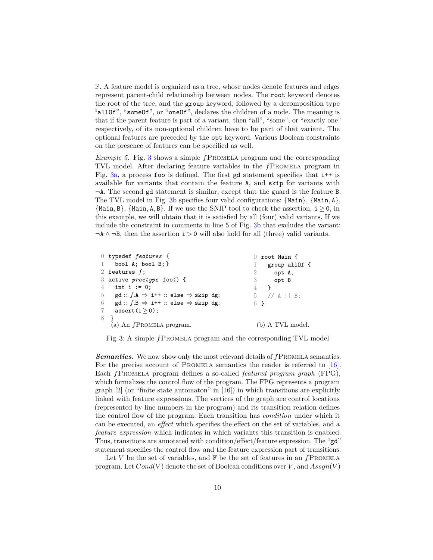F. A feature model is organized as a tree, whose nodes denote features and edges represent parent-child relationship between nodes. The root keyword denotes the root of the tree, and the group keyword, followed by a decomposition type "allOf", "someOf", or "oneOf", declares the children of a node. The meaning is that if the parent feature is part of a variant, then "all", "some", or "exactly one" respectively, of its non-optional children have to be part of that variant. The optional features are preceded by the opt keyword. Various Boolean constraints on the presence of features can be specified as well.

*Example 5.* Fig. [3](#page-9-0) shows a simple *f* PROMELA program and the corresponding TVL model. After declaring feature variables in the *f*Promela program in Fig.  $3a$ , a process foo is defined. The first gd statement specifies that  $i$ ++ is available for variants that contain the feature A, and skip for variants with  $\neg A$ . The second gd statement is similar, except that the guard is the feature B. The TVL model in Fig. [3b](#page-9-0) specifies four valid configurations:  $\{\text{Main}\}\$ ,  $\{\text{Main}\$  $\{\text{Main}, B\}$ ,  $\{\text{Main}, A, B\}$ . If we use the SNIP tool to check the assertion,  $i \geq 0$ , in this example, we will obtain that it is satisfied by all (four) valid variants. If we include the constraint in comments in line 5 of Fig. [3b](#page-9-0) that excludes the variant: ¬A ∧ ¬B, then the assertion i *>* 0 will also hold for all (three) valid variants.

<span id="page-9-0"></span>

|   | 0 typedef features {                                        | $0$ root Main {               |
|---|-------------------------------------------------------------|-------------------------------|
|   | bool A; bool B;}                                            | $\mathbf{1}$<br>group allOf { |
|   | 2 features $f$ ;                                            | opt A,                        |
|   | 3 active proctype foo() {                                   | 3<br>opt B                    |
| 4 | $int i := 0$ ;                                              | 4<br>$\rightarrow$            |
|   | 5 gd: $f.A \Rightarrow i++$ :: else $\Rightarrow$ skip dg;  | 5 / / A    B;                 |
|   | 6 gd:: $f.B \Rightarrow i++$ :: else $\Rightarrow$ skip dg; | 6 }                           |
|   | assert(i > 0);                                              |                               |
|   |                                                             |                               |
|   | (a) An $f$ PROMELA program.                                 | (b) A TVL model.              |

Fig. 3: A simple *f* PROMELA program and the corresponding TVL model

**Semantics.** We now show only the most relevant details of *f*PROMELA semantics. For the precise account of PROMELA semantics the reader is referred to [\[16\]](#page-17-8). Each *f*Promela program defines a so-called *featured program graph* (FPG), which formalizes the control flow of the program. The FPG represents a program graph  $[2]$  (or "finite state automaton" in  $[16]$ ) in which transitions are explicitly linked with feature expressions. The vertices of the graph are control locations (represented by line numbers in the program) and its transition relation defines the control flow of the program. Each transition has *condition* under which it can be executed, an *effect* which specifies the effect on the set of variables, and a *feature expression* which indicates in which variants this transition is enabled. Thus, transitions are annotated with condition/effect/feature expression. The "gd" statement specifies the control flow and the feature expression part of transitions.

Let  $V$  be the set of variables, and  $\mathbb F$  be the set of features in an *f*PROMELA program. Let  $Cond(V)$  denote the set of Boolean conditions over V, and  $Assan(V)$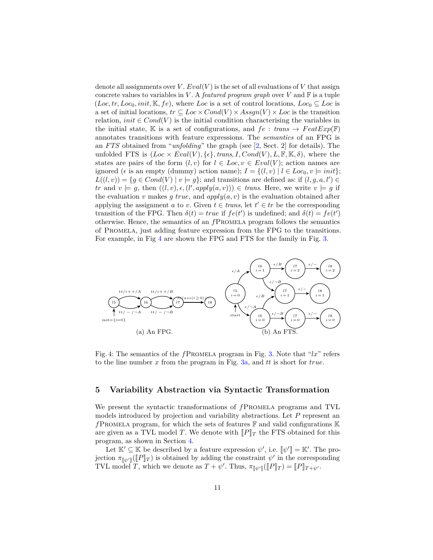denote all assignments over *V*.  $Eval(V)$  is the set of all evaluations of *V* that assign concrete values to variables in *V*. A *featured program graph* over *V* and  $\mathbb{F}$  is a tuple  $(Loc, tr, Loc_0, init, \mathbb{K}, fe)$ , where *Loc* is a set of control locations,  $Loc_0 \subseteq Loc$  is a set of initial locations,  $tr \subseteq Loc \times Cond(V) \times Assgn(V) \times Loc$  is the transition relation, *init*  $\in Cond(V)$  is the initial condition characterising the variables in the initial state, K is a set of configurations, and  $fe : trans \rightarrow FeatExp(\mathbb{F})$ annotates transitions with feature expressions. The *semantics* of an FPG is an *FTS* obtained from "*unfolding*" the graph (see [\[2,](#page-17-1) Sect. 2] for details). The unfolded FTS is  $(Loc \timesEval(V), \{\epsilon\}, trans, I, Cond(V), L, \mathbb{F}, \mathbb{K}, \delta)$ , where the states are pairs of the form  $(l, v)$  for  $l \in Loc, v \in Eval(V)$ ; action names are ignored ( $\epsilon$  is an empty (dummy) action name);  $I = \{(l, v) | l \in Loc_0, v \models init\};$  $L((l, v)) = \{g \in Cond(V) \mid v \models g\};$  and transitions are defined as: if  $(l, g, a, l') \in$  $tr$  and  $v \models g$ , then  $((l, v), \epsilon, (l', apply(a, v))) \in trans$ . Here, we write  $v \models g$  if the evaluation *v* makes *g true*, and  $apply(a, v)$  is the evaluation obtained after applying the assignment *a* to *v*. Given  $t \in trans$ , let  $t' \in tr$  be the corresponding transition of the FPG. Then  $\delta(t) = true$  if  $fe(t')$  is undefined; and  $\delta(t) = fe(t')$ otherwise. Hence, the semantics of an *f*Promela program follows the semantics of Promela, just adding feature expression from the FPG to the transitions. For example, in Fig [4](#page-10-0) are shown the FPG and FTS for the family in Fig. [3.](#page-9-0)

<span id="page-10-0"></span>

Fig. 4: The semantics of the *f*PROMELA program in Fig. [3.](#page-9-0) Note that "*lx*" refers to the line number *x* from the program in Fig. [3a,](#page-9-0) and *tt* is short for *true*.

## <span id="page-10-1"></span>**5 Variability Abstraction via Syntactic Transformation**

We present the syntactic transformations of *f*PROMELA programs and TVL models introduced by projection and variability abstractions. Let *P* represent an  $f$ PROMELA program, for which the sets of features  $\mathbb F$  and valid configurations  $\mathbb K$ are given as a TVL model *T*. We denote with  $||P||_T$  the FTS obtained for this program, as shown in Section [4.](#page-8-0)

Let  $\mathbb{K}' \subseteq \mathbb{K}$  be described by a feature expression  $\psi'$ , i.e.  $[\![\psi']\!] = \mathbb{K}'$ . The projection  $\pi_{\llbracket \psi' \rrbracket}(\llbracket P \rrbracket_T)$  is obtained by adding the constraint  $\psi'$  in the corresponding TVL model *T*, which we denote as  $T + \psi'$ . Thus,  $\pi_{\llbracket \psi' \rrbracket}(\llbracket P \rrbracket_T) = \llbracket P \rrbracket_{T + \psi'}$ .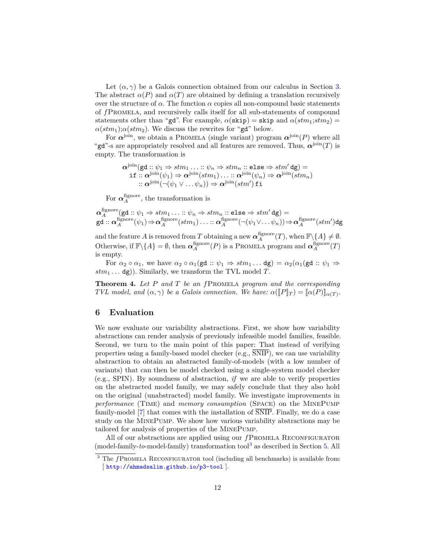Let  $(\alpha, \gamma)$  be a Galois connection obtained from our calculus in Section [3.](#page-5-1) The abstract  $\alpha(P)$  and  $\alpha(T)$  are obtained by defining a translation recursively over the structure of  $\alpha$ . The function  $\alpha$  copies all non-compound basic statements of *f*Promela, and recursively calls itself for all sub-statements of compound statements other than "gd". For example,  $\alpha(\text{skip}) = \text{skip}$  and  $\alpha(\text{stm}_1; \text{stm}_2) =$  $\alpha(\text{stm}_1); \alpha(\text{stm}_2)$ . We discuss the rewrites for "gd" below.

For  $\alpha^{join}$ , we obtain a PROMELA (single variant) program  $\alpha^{join}(P)$  where all "gd"-s are appropriately resolved and all features are removed. Thus,  $\alpha^{join}(T)$  is empty. The transformation is

$$
\begin{array}{c}\boldsymbol{\alpha}^{\mathrm{join}}( \mathrm{gd}::\psi_1\Rightarrow stm_1 \ldots ::\psi_n\Rightarrow stm_n::\textbf{else}\Rightarrow stm'\,\textbf{dg})=\\ \textbf{if}::\boldsymbol{\alpha}^{\mathrm{join}}(\psi_1)\Rightarrow\boldsymbol{\alpha}^{\mathrm{join}}(stm_1) \ldots ::\boldsymbol{\alpha}^{\mathrm{join}}(\psi_n)\Rightarrow\boldsymbol{\alpha}^{\mathrm{join}}(stm_n)\\ ::\boldsymbol{\alpha}^{\mathrm{join}}(\neg (\psi_1\vee\ldots \psi_n))\Rightarrow\boldsymbol{\alpha}^{\mathrm{join}}(stm')\,\textbf{fi}\end{array}
$$

For  $\alpha_A^{\text{figure}}$ , the transformation is

$$
\begin{array}{l} \mathbf{\alpha}^{\mathrm{figure}}_A(\mathrm{gd}::\psi_1\Rightarrow stm_1\ldots::\psi_n\Rightarrow stm_n::\mathrm{else}\Rightarrow stm'\,\mathrm{dg})=\\ \mathrm{gd}::\mathbf{\alpha}^{\mathrm{figure}}_A(\psi_1)\Rightarrow\mathbf{\alpha}^{\mathrm{figure}}_A(stm_1)\ldots::\mathbf{\alpha}^{\mathrm{figure}}_A(\neg(\psi_1\vee\ldots\psi_n))\Rightarrow\mathbf{\alpha}^{\mathrm{figure}}_A(stm')\mathrm{dg}\\ \end{array}
$$

and the feature *A* is removed from *T* obtaining a new  $\alpha_A^{\text{figure}}(T)$ , when  $\mathbb{F}\backslash\{A\} \neq \emptyset$ . Otherwise, if  $\mathbb{F}\setminus\{A\}=\emptyset$ , then  $\alpha_A^{\text{figure}}(P)$  is a PROMELA program and  $\alpha_A^{\text{figure}}(T)$ is empty.

For  $\alpha_2 \circ \alpha_1$ , we have  $\alpha_2 \circ \alpha_1(\text{gd} :: \psi_1 \Rightarrow \text{stm}_1 \dots \text{dg}) = \alpha_2(\alpha_1(\text{gd} :: \psi_1 \Rightarrow$  $stm_1 \ldots$  dg)). Similarly, we transform the TVL model *T*.

<span id="page-11-1"></span>**Theorem 4.** *Let P and T be an f*Promela *program and the corresponding TVL* model, and  $(\alpha, \gamma)$  be a Galois connection. We have:  $\alpha([\![P]\!]_T) = [\![\alpha(P)]\!]_{\alpha(T)}$ .

#### **6 Evaluation**

We now evaluate our variability abstractions. First, we show how variability abstractions can render analysis of previously infeasible model families, feasible. Second, we turn to the main point of this paper: That instead of verifying properties using a family-based model checker (e.g.,  $\overline{\text{SNIP}}$ ), we can use variability abstraction to obtain an abstracted family-of-models (with a low number of variants) that can then be model checked using a single-system model checker (e.g., SPIN). By soundness of abstraction, *if* we are able to verify properties on the abstracted model family, we may safely conclude that they also hold on the original (unabstracted) model family. We investigate improvements in *performance* (Time) and *memory consumption* (Space) on the MinePump family-model [\[7\]](#page-17-7) that comes with the installation of SNIP. Finally, we do a case study on the MinePump. We show how various variability abstractions may be tailored for analysis of properties of the MinePump.

All of our abstractions are applied using our *f*PROMELA RECONFIGURATOR (model-family-*to*-model-family) transformation tool[3](#page-11-0) as described in Section [5.](#page-10-1) All

<span id="page-11-0"></span><sup>&</sup>lt;sup>3</sup> The *f*PROMELA RECONFIGURATOR tool (including all benchmarks) is available from: [ <http://ahmadsalim.github.io/p3-tool> ].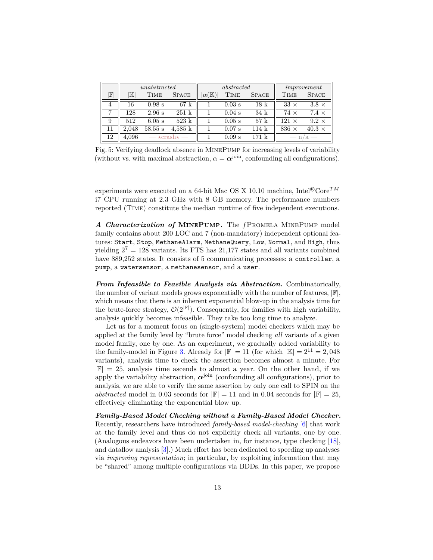<span id="page-12-0"></span>

|             | unabstracted |                       |                   | abstracted             |             |              | improvement  |               |
|-------------|--------------|-----------------------|-------------------|------------------------|-------------|--------------|--------------|---------------|
| $\mathbb F$ | $\mathbb{K}$ | <b>TIME</b>           | <b>SPACE</b>      | $ \alpha(\mathbb{K}) $ | <b>TIME</b> | <b>SPACE</b> | <b>TIME</b>  | <b>SPACE</b>  |
| 4           | 16           | 0.98 s                | 67k               |                        | $0.03$ s    | 18k          | $33 \times$  | $3.8 \times$  |
| 7           | 128          | 2.96 s                | $251 \text{ k}$   |                        | $0.04$ s    | 34k          | $74 \times$  | $7.4 \times$  |
| 9           | 512          | $6.05$ s              | 523k              |                        | $0.05$ s    | 57k          | $121 \times$ | $9.2 \times$  |
| 11          | 2.048        | 58.55 s               | $4,585 \text{ k}$ |                        | $0.07$ s    | 114k         | $836 \times$ | $40.3 \times$ |
| 12          | 4.096        | $\star$ crash $\star$ |                   |                        | $0.09$ s    | 171k         |              |               |

Fig. 5: Verifying deadlock absence in MinePump for increasing levels of variability (without vs. with maximal abstraction,  $\alpha = \alpha^{join}$ , confounding all configurations).

experiments were executed on a 64-bit Mac OS X 10.10 machine, Intel<sup>®</sup>Core<sup>TM</sup> i7 CPU running at 2.3 GHz with 8 GB memory. The performance numbers reported (Time) constitute the median runtime of five independent executions.

*A Characterization of* MinePump*.* The *f*Promela MinePump model family contains about 200 LOC and 7 (non-mandatory) independent optional features: Start, Stop, MethaneAlarm, MethaneQuery, Low, Normal, and High, thus yielding  $2^7 = 128$  variants. Its FTS has 21,177 states and all variants combined have 889,252 states. It consists of 5 communicating processes: a controller, a pump, a watersensor, a methanesensor, and a user.

*From Infeasible to Feasible Analysis via Abstraction.* Combinatorically, the number of variant models grows exponentially with the number of features,  $\mathbb{F}$ , which means that there is an inherent exponential blow-up in the analysis time for the brute-force strategy,  $\mathcal{O}(2^{|F|})$ . Consequently, for families with high variability, analysis quickly becomes infeasible. They take too long time to analyze.

Let us for a moment focus on (single-system) model checkers which may be applied at the family level by "brute force" model checking *all* variants of a given model family, one by one. As an experiment, we gradually added variability to the family-model in Figure [3.](#page-9-0) Already for  $|\mathbb{F}| = 11$  (for which  $|\mathbb{K}| = 2^{11} = 2,048$ ) variants), analysis time to check the assertion becomes almost a minute. For  $|\mathbb{F}| = 25$ , analysis time ascends to almost a year. On the other hand, if we apply the variability abstraction,  $\alpha^{join}$  (confounding all configurations), prior to analysis, we are able to verify the same assertion by only one call to SPIN on the *abstracted* model in 0.03 seconds for  $|\mathbb{F}| = 11$  and in 0.04 seconds for  $|\mathbb{F}| = 25$ , effectively eliminating the exponential blow up.

*Family-Based Model Checking without a Family-Based Model Checker.* Recently, researchers have introduced *family-based model-checking* [\[6\]](#page-17-6) that work at the family level and thus do not explicitly check all variants, one by one. (Analogous endeavors have been undertaken in, for instance, type checking [\[18\]](#page-17-11), and dataflow analysis [\[3\]](#page-17-13).) Much effort has been dedicated to speeding up analyses via *improving representation*; in particular, by exploiting information that may be "shared" among multiple configurations via BDDs. In this paper, we propose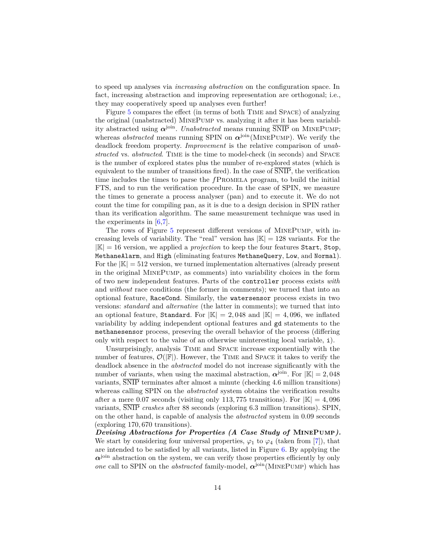to speed up analyses via *increasing abstraction* on the configuration space. In fact, increasing abstraction and improving representation are orthogonal; i.e., they may cooperatively speed up analyses even further!

Figure [5](#page-12-0) compares the effect (in terms of both Time and Space) of analyzing the original (unabstracted) MinePump vs. analyzing it after it has been variability abstracted using *α*join . *Unabstracted* means running SNIP on MinePump; whereas *abstracted* means running SPIN on *α*join(MinePump). We verify the deadlock freedom property. *Improvement* is the relative comparison of *unabstracted* vs. *abstracted*. Time is the time to model-check (in seconds) and Space is the number of explored states plus the number of re-explored states (which is equivalent to the number of transitions fired). In the case of  $\overline{\text{SNIP}}$ , the verification time includes the times to parse the *f*Promela program, to build the initial FTS, and to run the verification procedure. In the case of SPIN, we measure the times to generate a process analyser (pan) and to execute it. We do not count the time for compiling pan, as it is due to a design decision in SPIN rather than its verification algorithm. The same measurement technique was used in the experiments in [\[6,](#page-17-6)[7\]](#page-17-7).

The rows of Figure [5](#page-12-0) represent different versions of MinePump, with increasing levels of variability. The "real" version has  $|K| = 128$  variants. For the  $|K| = 16$  version, we applied a *projection* to keep the four features Start, Stop, MethaneAlarm, and High (eliminating features MethaneQuery, Low, and Normal). For the  $|\mathbb{K}| = 512$  version, we turned implementation alternatives (already present in the original MinePump, as comments) into variability choices in the form of two new independent features. Parts of the controller process exists *with* and *without* race conditions (the former in comments); we turned that into an optional feature, RaceCond. Similarly, the watersensor process exists in two versions: *standard* and *alternative* (the latter in comments); we turned that into an optional feature, Standard. For  $|\mathbb{K}| = 2,048$  and  $|\mathbb{K}| = 4,096$ , we inflated variability by adding independent optional features and gd statements to the methanesensor process, preseving the overall behavior of the process (differing only with respect to the value of an otherwise uninteresting local variable, i).

Unsurprisingly, analysis Time and Space increase exponentially with the number of features,  $\mathcal{O}(|\mathbb{F}|)$ . However, the TIME and SPACE it takes to verify the deadlock absence in the *abstracted* model do not increase significantly with the number of variants, when using the maximal abstraction,  $\alpha^{join}$ . For  $|\mathbb{K}| = 2,048$ variants, SNIP terminates after almost a minute (checking 4*.*6 million transitions) whereas calling SPIN on the *abstracted* system obtains the verification results after a mere 0.07 seconds (visiting only 113, 775 transitions). For  $|\mathbb{K}| = 4,096$ variants, SNIP *crashes* after 88 seconds (exploring 6*.*3 million transitions). SPIN, on the other hand, is capable of analysis the *abstracted* system in 0*.*09 seconds (exploring 170*,* 670 transitions).

*Devising Abstractions for Properties (A Case Study of* MinePump*).* We start by considering four universal properties,  $\varphi_1$  to  $\varphi_4$  (taken from [\[7\]](#page-17-7)), that are intended to be satisfied by all variants, listed in Figure [6.](#page-14-0) By applying the  $\alpha$ <sup>join</sup> abstraction on the system, we can verify those properties efficiently by only *one* call to SPIN on the *abstracted* family-model, *α*join(MinePump) which has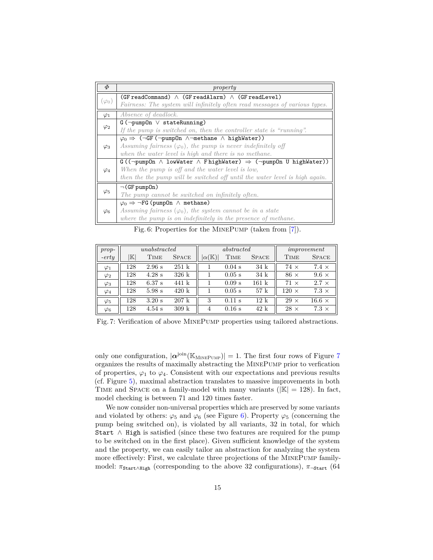<span id="page-14-0"></span>

| $\Phi$        | property                                                                                                                    |  |  |  |  |
|---------------|-----------------------------------------------------------------------------------------------------------------------------|--|--|--|--|
| $(\varphi_0)$ | (GF readCommand) $\wedge$ (GF readAlarm) $\wedge$ (GF readLevel)                                                            |  |  |  |  |
|               | Fairness: The system will infinitely often read messages of various types.                                                  |  |  |  |  |
| $\varphi_1$   | <i>Absence of deadlock.</i>                                                                                                 |  |  |  |  |
| $\varphi_2$   | $G(\neg \text{pumpOn} \lor \text{stateRunning})$                                                                            |  |  |  |  |
|               | If the pump is switched on, then the controller state is "running".                                                         |  |  |  |  |
| $\varphi_3$   | $\varphi_0 \Rightarrow (\neg GF(\neg pumpOn \wedge \neg methane \wedge highWater))$                                         |  |  |  |  |
|               | Assuming fairness $(\varphi_0)$ , the pump is never indefinitely off                                                        |  |  |  |  |
|               | when the water level is high and there is no methane.                                                                       |  |  |  |  |
|               | $G((\neg \text{pumpOn} \land \text{lowWater} \land \text{FhighWater}) \Rightarrow (\neg \text{pumpOn} \text{U highWater}))$ |  |  |  |  |
| $\varphi_4$   | When the pump is off and the water level is low,                                                                            |  |  |  |  |
|               | then the the pump will be switched off until the water level is high again.                                                 |  |  |  |  |
|               | $\neg$ (GF pump0n)                                                                                                          |  |  |  |  |
| $\varphi_5$   | The pump cannot be switched on infinitely often.                                                                            |  |  |  |  |
|               | $\varphi_0 \Rightarrow \neg FG$ (pumpOn $\land$ methane)                                                                    |  |  |  |  |
| $\varphi_6$   | Assuming fairness $(\varphi_0)$ , the system cannot be in a state                                                           |  |  |  |  |
|               | where the pump is on indefinitely in the presence of methane.                                                               |  |  |  |  |

Fig. 6: Properties for the MinePump (taken from [\[7\]](#page-17-7)).

<span id="page-14-1"></span>

| $prop-$     | unabstracted   |          |                 | abstracted             |          |              | improvement  |                   |
|-------------|----------------|----------|-----------------|------------------------|----------|--------------|--------------|-------------------|
| $-erty$     | $ \mathbb{K} $ | TIME     | <b>SPACE</b>    | $ \alpha(\mathbb{K}) $ | TIME     | <b>SPACE</b> | TIME         | <b>SPACE</b>      |
| $\varphi_1$ | 128            | 2.96 s   | $251 \text{ k}$ |                        | $0.04$ s | 34k          | $74 \times$  | $7.4 \times$      |
| $\varphi_2$ | 128            | $4.28$ s | $326 \text{ k}$ |                        | $0.05$ s | 34k          | $86 \times$  | $9.6 \times$      |
| $\varphi_3$ | 128            | $6.37$ s | 441 k           |                        | $0.09$ s | 161k         | $71 \times$  | $2.7 \times$      |
| $\varphi_4$ | 128            | 5.98 s   | $420 \text{ k}$ |                        | $0.05$ s | 57k          | $120 \times$ | $7.3 \times$      |
| $\varphi_5$ | 128            | 3.20 s   | 207k            | 3                      | $0.11$ s | 12k          | $29 \times$  | $16.6\;$ $\times$ |
| $\varphi_6$ | 128            | $4.54$ s | $309 \text{ k}$ | 4                      | $0.16$ s | 42k          | $28 \times$  | $7.3 \times$      |

Fig. 7: Verification of above MinePump properties using tailored abstractions.

only one configuration,  $|\alpha^{join}(\mathbb{K}_{MINEPUMP})| = 1$ . The first four rows of Figure [7](#page-14-1) organizes the results of maximally abstracting the MinePump prior to verfication of properties,  $\varphi_1$  to  $\varphi_4$ . Consistent with our expectations and previous results (cf. Figure [5\)](#page-12-0), maximal abstraction translates to massive improvements in both TIME and SPACE on a family-model with many variants ( $|\mathbb{K}| = 128$ ). In fact, model checking is between 71 and 120 times faster.

We now consider non-universal properties which are preserved by some variants and violated by others:  $\varphi_5$  and  $\varphi_6$  (see Figure [6\)](#page-14-0). Property  $\varphi_5$  (concerning the pump being switched on), is violated by all variants, 32 in total, for which Start ∧ High is satisfied (since these two features are required for the pump to be switched on in the first place). Given sufficient knowledge of the system and the property, we can easily tailor an abstraction for analyzing the system more effectively: First, we calculate three projections of the MinePump familymodel:  $\pi_{\text{Start}\wedge\text{High}}$  (corresponding to the above 32 configurations),  $\pi_{\text{-Start}}$  (64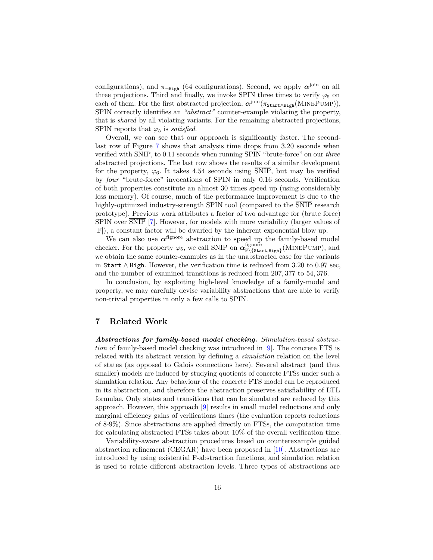configurations), and  $\pi_{\text{-High}}$  (64 configurations). Second, we apply  $\alpha^{\text{join}}$  on all three projections. Third and finally, we invoke SPIN three times to verify  $\varphi_5$  on each of them. For the first abstracted projection,  $\alpha^{\rm join}(\pi_{\texttt{Start} \wedge \texttt{High}}(\texttt{MINEPUMP})),$ SPIN correctly identifies an *"abstract"* counter-example violating the property, that is *shared* by all violating variants. For the remaining abstracted projections, SPIN reports that  $\varphi_5$  is *satisfied*.

Overall, we can see that our approach is significantly faster. The secondlast row of Figure [7](#page-14-1) shows that analysis time drops from 3.20 seconds when verified with SNIP, to 0.11 seconds when running SPIN "brute-force" on our *three* abstracted projections. The last row shows the results of a similar development for the property,  $\varphi_6$ . It takes 4.54 seconds using  $\overline{\text{SNIP}}$ , but may be verified by *four* "brute-force" invocations of SPIN in only 0.16 seconds. Verification of both properties constitute an almost 30 times speed up (using considerably less memory). Of course, much of the performance improvement is due to the highly-optimized industry-strength SPIN tool (compared to the  $\overline{\text{SNIP}}$  research prototype). Previous work attributes a factor of two advantage for (brute force) SPIN over SNIP [\[7\]](#page-17-7). However, for models with more variability (larger values of  $|\mathbb{F}|$ , a constant factor will be dwarfed by the inherent exponential blow up.

We can also use  $\alpha^{\text{figure}}$  abstraction to speed up the family-based model checker. For the property  $\varphi_5$ , we call  $\overline{\text{SNIP}}$  on  $\alpha_{\mathbb{F}\backslash \{\text{Start}, \text{High}\}}^{\text{figure}}(\text{MINEPUMP})$ , and we obtain the same counter-examples as in the unabstracted case for the variants in Start ∧ High. However, the verification time is reduced from 3.20 to 0.97 sec, and the number of examined transitions is reduced from 207*,* 377 to 54*,* 376.

In conclusion, by exploiting high-level knowledge of a family-model and property, we may carefully devise variability abstractions that are able to verify non-trivial properties in only a few calls to SPIN.

# **7 Related Work**

*Abstractions for family-based model checking. Simulation-based abstraction* of family-based model checking was introduced in [\[9\]](#page-17-14). The concrete FTS is related with its abstract version by defining a *simulation* relation on the level of states (as opposed to Galois connections here). Several abstract (and thus smaller) models are induced by studying quotients of concrete FTSs under such a simulation relation. Any behaviour of the concrete FTS model can be reproduced in its abstraction, and therefore the abstraction preserves satisfiability of LTL formulae. Only states and transitions that can be simulated are reduced by this approach. However, this approach [\[9\]](#page-17-14) results in small model reductions and only marginal efficiency gains of verifications times (the evaluation reports reductions of 8-9%). Since abstractions are applied directly on FTSs, the computation time for calculating abstracted FTSs takes about 10% of the overall verification time.

Variability-aware abstraction procedures based on counterexample guided abstraction refinement (CEGAR) have been proposed in [\[10\]](#page-17-15). Abstractions are introduced by using existential F-abstraction functions, and simulation relation is used to relate different abstraction levels. Three types of abstractions are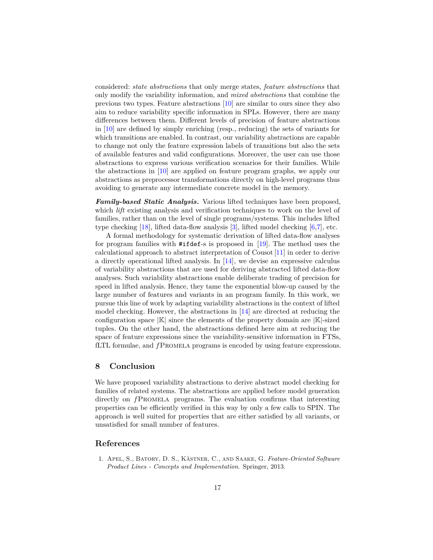considered: *state abstractions* that only merge states, *feature abstractions* that only modify the variability information, and *mixed abstractions* that combine the previous two types. Feature abstractions [\[10\]](#page-17-15) are similar to ours since they also aim to reduce variability specific information in SPLs. However, there are many differences between them. Different levels of precision of feature abstractions in [\[10\]](#page-17-15) are defined by simply enriching (resp., reducing) the sets of variants for which transitions are enabled. In contrast, our variability abstractions are capable to change not only the feature expression labels of transitions but also the sets of available features and valid configurations. Moreover, the user can use those abstractions to express various verification scenarios for their families. While the abstractions in [\[10\]](#page-17-15) are applied on feature program graphs, we apply our abstractions as preprocessor transformations directly on high-level programs thus avoiding to generate any intermediate concrete model in the memory.

*Family-based Static Analysis.* Various lifted techniques have been proposed, which *lift* existing analysis and verification techniques to work on the level of families, rather than on the level of single programs/systems. This includes lifted type checking [\[18\]](#page-17-11), lifted data-flow analysis [\[3\]](#page-17-13), lifted model checking [\[6,](#page-17-6)[7\]](#page-17-7), etc.

A formal methodology for systematic derivation of lifted data-flow analyses for program families with #ifdef-s is proposed in [\[19\]](#page-17-16). The method uses the calculational approach to abstract interpretation of Cousot [\[11\]](#page-17-5) in order to derive a directly operational lifted analysis. In [\[14\]](#page-17-17), we devise an expressive calculus of variability abstractions that are used for deriving abstracted lifted data-flow analyses. Such variability abstractions enable deliberate trading of precision for speed in lifted analysis. Hence, they tame the exponential blow-up caused by the large number of features and variants in an program family. In this work, we pursue this line of work by adapting variability abstractions in the context of lifted model checking. However, the abstractions in [\[14\]](#page-17-17) are directed at reducing the configuration space  $|\mathbb{K}|$  since the elements of the property domain are  $|\mathbb{K}|$ -sized tuples. On the other hand, the abstractions defined here aim at reducing the space of feature expressions since the variability-sensitive information in FTSs, fLTL formulae, and *f*Promela programs is encoded by using feature expressions.

## **8 Conclusion**

We have proposed variability abstractions to derive abstract model checking for families of related systems. The abstractions are applied before model generation directly on *f*Promela programs. The evaluation confirms that interesting properties can be efficiently verified in this way by only a few calls to SPIN. The approach is well suited for properties that are either satisfied by all variants, or unsatisfied for small number of features.

## **References**

<span id="page-16-0"></span>1. Apel, S., Batory, D. S., Kästner, C., and Saake, G. *Feature-Oriented Software Product Lines - Concepts and Implementation*. Springer, 2013.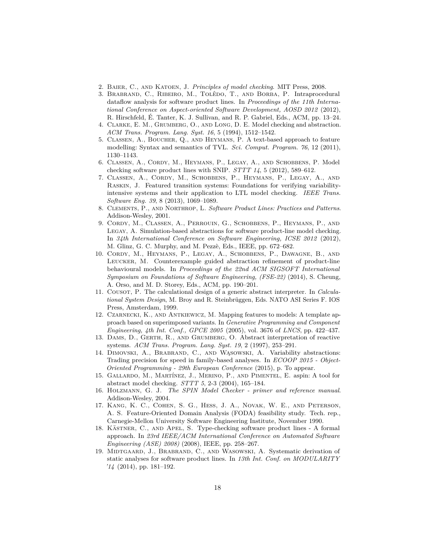- <span id="page-17-1"></span>2. Baier, C., and Katoen, J. *Principles of model checking*. MIT Press, 2008.
- <span id="page-17-13"></span>3. Brabrand, C., Ribeiro, M., Tolêdo, T., and Borba, P. Intraprocedural dataflow analysis for software product lines. In *Proceedings of the 11th International Conference on Aspect-oriented Software Development, AOSD 2012* (2012), R. Hirschfeld, É. Tanter, K. J. Sullivan, and R. P. Gabriel, Eds., ACM, pp. 13–24.
- <span id="page-17-2"></span>4. Clarke, E. M., Grumberg, O., and Long, D. E. Model checking and abstraction. *ACM Trans. Program. Lang. Syst. 16*, 5 (1994), 1512–1542.
- <span id="page-17-12"></span>5. Classen, A., Boucher, Q., and Heymans, P. A text-based approach to feature modelling: Syntax and semantics of TVL. *Sci. Comput. Program. 76*, 12 (2011), 1130–1143.
- <span id="page-17-6"></span>6. Classen, A., Cordy, M., Heymans, P., Legay, A., and Schobbens, P. Model checking software product lines with SNIP. *STTT 14*, 5 (2012), 589–612.
- <span id="page-17-7"></span>7. Classen, A., Cordy, M., Schobbens, P., Heymans, P., Legay, A., and Raskin, J. Featured transition systems: Foundations for verifying variabilityintensive systems and their application to LTL model checking. *IEEE Trans. Software Eng. 39*, 8 (2013), 1069–1089.
- <span id="page-17-0"></span>8. Clements, P., and Northrop, L. *Software Product Lines: Practices and Patterns*. Addison-Wesley, 2001.
- <span id="page-17-14"></span>9. Cordy, M., Classen, A., Perrouin, G., Schobbens, P., Heymans, P., and Legay, A. Simulation-based abstractions for software product-line model checking. In *34th International Conference on Software Engineering, ICSE 2012* (2012), M. Glinz, G. C. Murphy, and M. Pezzè, Eds., IEEE, pp. 672–682.
- <span id="page-17-15"></span>10. Cordy, M., Heymans, P., Legay, A., Schobbens, P., Dawagne, B., and Leucker, M. Counterexample guided abstraction refinement of product-line behavioural models. In *Proceedings of the 22nd ACM SIGSOFT International Symposium on Foundations of Software Engineering, (FSE-22)* (2014), S. Cheung, A. Orso, and M. D. Storey, Eds., ACM, pp. 190–201.
- <span id="page-17-5"></span>11. Cousot, P. The calculational design of a generic abstract interpreter. In *Calculational System Design*, M. Broy and R. Steinbrüggen, Eds. NATO ASI Series F. IOS Press, Amsterdam, 1999.
- <span id="page-17-9"></span>12. Czarnecki, K., and Antkiewicz, M. Mapping features to models: A template approach based on superimposed variants. In *Generative Programming and Component Engineering, 4th Int. Conf., GPCE 2005* (2005), vol. 3676 of *LNCS*, pp. 422–437.
- <span id="page-17-3"></span>13. Dams, D., Gerth, R., and Grumberg, O. Abstract interpretation of reactive systems. *ACM Trans. Program. Lang. Syst. 19*, 2 (1997), 253–291.
- <span id="page-17-17"></span>14. Dimovski, A., Brabrand, C., and Wąsowski, A. Variability abstractions: Trading precision for speed in family-based analyses. In *ECOOP 2015 - Object-Oriented Programming - 29th European Conference* (2015), p. To appear.
- <span id="page-17-4"></span>15. Gallardo, M., Martínez, J., Merino, P., and Pimentel, E. aspin: A tool for abstract model checking. *STTT 5*, 2-3 (2004), 165–184.
- <span id="page-17-8"></span>16. Holzmann, G. J. *The SPIN Model Checker - primer and reference manual*. Addison-Wesley, 2004.
- <span id="page-17-10"></span>17. Kang, K. C., Cohen, S. G., Hess, J. A., Novak, W. E., and Peterson, A. S. Feature-Oriented Domain Analysis (FODA) feasibility study. Tech. rep., Carnegie-Mellon University Software Engineering Institute, November 1990.
- <span id="page-17-11"></span>18. Kästner, C., and Apel, S. Type-checking software product lines - A formal approach. In *23rd IEEE/ACM International Conference on Automated Software Engineering (ASE) 2008)* (2008), IEEE, pp. 258–267.
- <span id="page-17-16"></span>19. Midtgaard, J., Brabrand, C., and Wasowski, A. Systematic derivation of static analyses for software product lines. In *13th Int. Conf. on MODULARITY '14* (2014), pp. 181–192.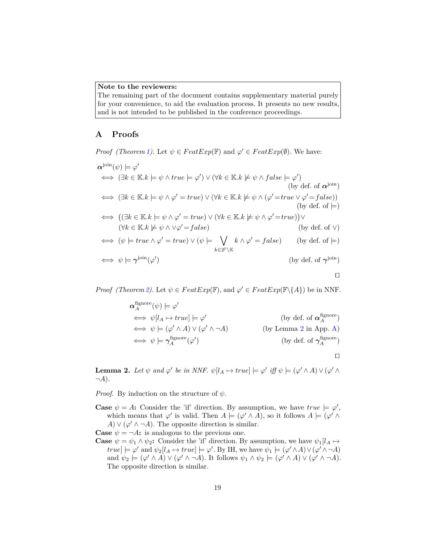#### **Note to the reviewers:**

The remaining part of the document contains supplementary material purely for your convenience, to aid the evaluation process. It presents no new results, and is not intended to be published in the conference proceedings.

# <span id="page-18-0"></span>**A Proofs**

*Proof (Theorem [1\)](#page-5-2).* Let  $\psi \in \text{FeatExp}(\mathbb{F})$  and  $\varphi' \in \text{FeatExp}(\emptyset)$ *.* We have:

 $\boldsymbol{\alpha}^{\mathrm{join}}(\psi) \models \varphi'$  $\iff (\exists k \in \mathbb{K}.k \models \psi \land true \models \varphi') \lor (\forall k \in \mathbb{K}.k \not\models \psi \land false \models \varphi')$ (by def. of  $\alpha^{join}$ )  $\iff (\exists k \in \mathbb{K}.k \models \psi \land \varphi' = true) \lor (\forall k \in \mathbb{K}.k \not\models \psi \land (\varphi' = true \lor \varphi' = false))$ (by def. of  $\models$ )  $\iff ((\exists k \in \mathbb{K}.k \models \psi \land \varphi' = true) \lor (\forall k \in \mathbb{K}.k \not\models \psi \land \varphi' = true)) \lor$  $(\forall k \in \mathbb{K}. k \not\models \psi \land \forall \varphi' = false)$ (by def. of  $\vee$ )  $\iff (\psi \models true \land \varphi' = true) \lor (\psi \models \bigvee$  $k\in 2^{\mathbb{F}}\backslash \mathbb{K}$  $k \wedge \varphi' = false$  (by def. of  $\models$ )  $\iff \psi \models \gamma^{\rm join}(\varphi'$ (by def. of  $\gamma^{\text{join}}$ )  $\Box$ 

*Proof (Theorem [2\)](#page-6-0).* Let  $\psi \in \text{FeatExp}(\mathbb{F})$ , and  $\varphi' \in \text{FeatExp}(\mathbb{F}\backslash\{A\})$  be in NNF.

$$
\alpha_A^{\text{figure}}(\psi) \models \varphi'
$$
\n
$$
\iff \psi[l_A \mapsto true] \models \varphi'
$$
\n
$$
\iff \psi \models (\varphi' \land A) \lor (\varphi' \land \neg A)
$$
\n
$$
\iff \psi \models \gamma_A^{\text{figure}}(\varphi')
$$
\n
$$
\iff \psi \models \gamma_A^{\text{figure}}(\varphi')
$$
\n
$$
\text{(by define 2 in App. A)}
$$
\n
$$
\text{(by def. of } \gamma_A^{\text{figure}})
$$

<span id="page-18-1"></span>**Lemma 2.** Let  $\psi$  and  $\varphi'$  be in NNF.  $\psi[l_A \mapsto true] \models \varphi'$  iff  $\psi \models (\varphi' \wedge A) \vee (\varphi' \wedge A)$  $\neg A)$ .

*Proof.* By induction on the structure of *ψ*.

**Case**  $\psi = A$ **:** Consider the 'if' direction. By assumption, we have  $true \models \varphi'$ , which means that  $\varphi'$  is valid. Then  $A \models (\varphi' \land A)$ , so it follows  $A \models (\varphi' \land A)$ *A*)  $\vee$  ( $\varphi' \wedge \neg A$ ). The opposite direction is similar.

**Case**  $\psi = \neg A$ : is analogous to the previous one.

**Case**  $\psi = \psi_1 \wedge \psi_2$ : Consider the 'if' direction. By assumption, we have  $\psi_1[l_A \mapsto$  $true] \models \varphi'$  and  $\psi_2[l_A \mapsto true] \models \varphi'.$  By IH, we have  $\psi_1 \models (\varphi' \land A) \lor (\varphi' \land \neg A)$ and  $\psi_2 \models (\varphi' \land A) \lor (\varphi' \land \neg A)$ . It follows  $\psi_1 \land \psi_2 \models (\varphi' \land A) \lor (\varphi' \land \neg A)$ . The opposite direction is similar.